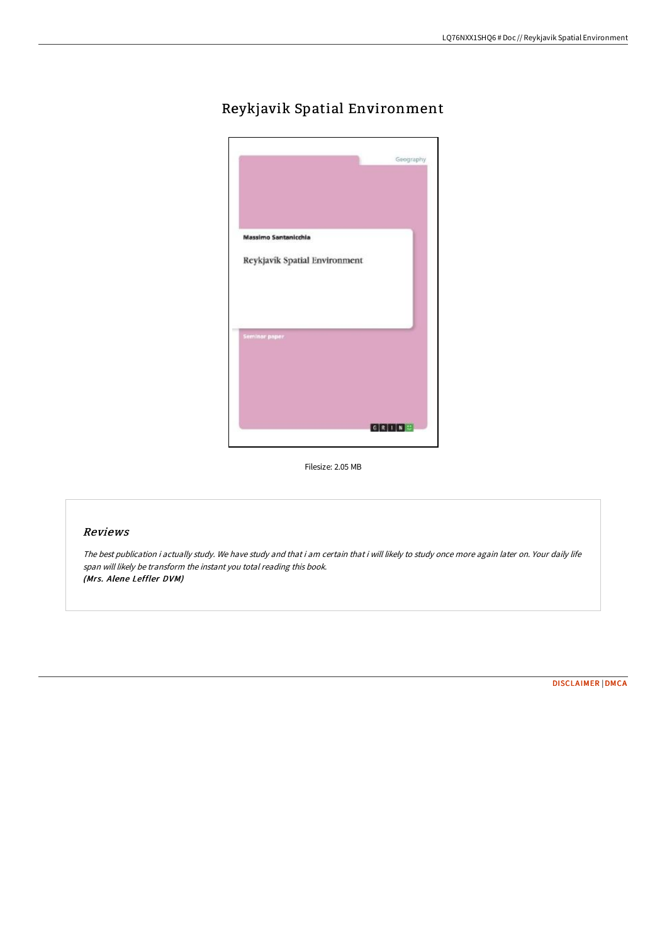## Reykjavik Spatial Environment



Filesize: 2.05 MB

## Reviews

The best publication i actually study. We have study and that i am certain that i will likely to study once more again later on. Your daily life span will likely be transform the instant you total reading this book. (Mrs. Alene Leffler DVM)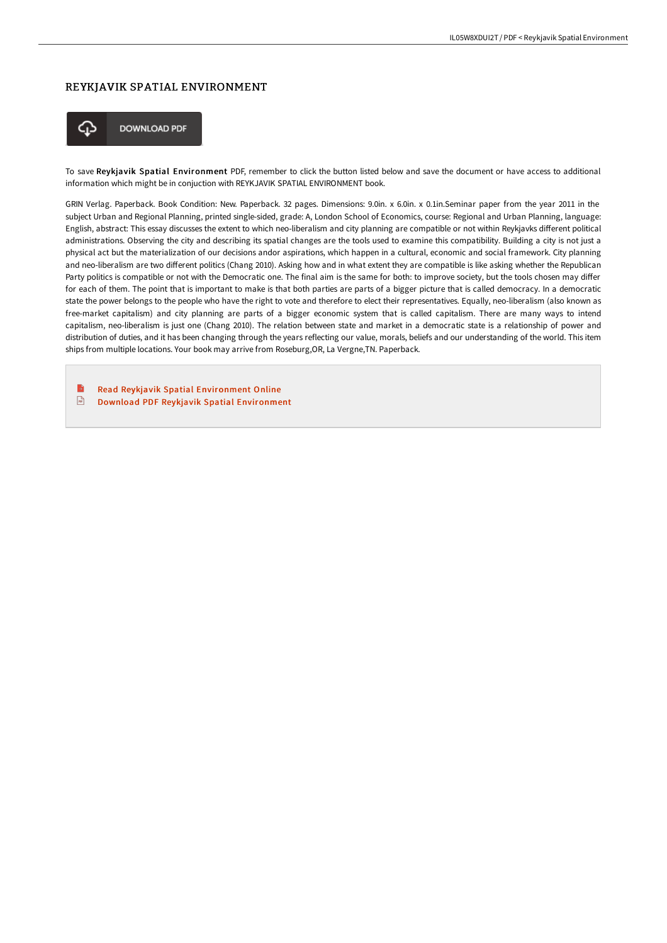## REYKJAVIK SPATIAL ENVIRONMENT



**DOWNLOAD PDF** 

To save Reykjavik Spatial Environment PDF, remember to click the button listed below and save the document or have access to additional information which might be in conjuction with REYKJAVIK SPATIAL ENVIRONMENT book.

GRIN Verlag. Paperback. Book Condition: New. Paperback. 32 pages. Dimensions: 9.0in. x 6.0in. x 0.1in.Seminar paper from the year 2011 in the subject Urban and Regional Planning, printed single-sided, grade: A, London School of Economics, course: Regional and Urban Planning, language: English, abstract: This essay discusses the extent to which neo-liberalism and city planning are compatible or not within Reykjavks different political administrations. Observing the city and describing its spatial changes are the tools used to examine this compatibility. Building a city is not just a physical act but the materialization of our decisions andor aspirations, which happen in a cultural, economic and social framework. City planning and neo-liberalism are two different politics (Chang 2010). Asking how and in what extent they are compatible is like asking whether the Republican Party politics is compatible or not with the Democratic one. The final aim is the same for both: to improve society, but the tools chosen may differ for each of them. The point that is important to make is that both parties are parts of a bigger picture that is called democracy. In a democratic state the power belongs to the people who have the right to vote and therefore to elect their representatives. Equally, neo-liberalism (also known as free-market capitalism) and city planning are parts of a bigger economic system that is called capitalism. There are many ways to intend capitalism, neo-liberalism is just one (Chang 2010). The relation between state and market in a democratic state is a relationship of power and distribution of duties, and it has been changing through the years reflecting our value, morals, beliefs and our understanding of the world. This item ships from multiple locations. Your book may arrive from Roseburg,OR, La Vergne,TN. Paperback.

B Read Reykjavik Spatial [Environment](http://bookera.tech/reykjavik-spatial-environment.html) Online  $\boxed{n}$ Download PDF Reykjavik Spatial [Environment](http://bookera.tech/reykjavik-spatial-environment.html)